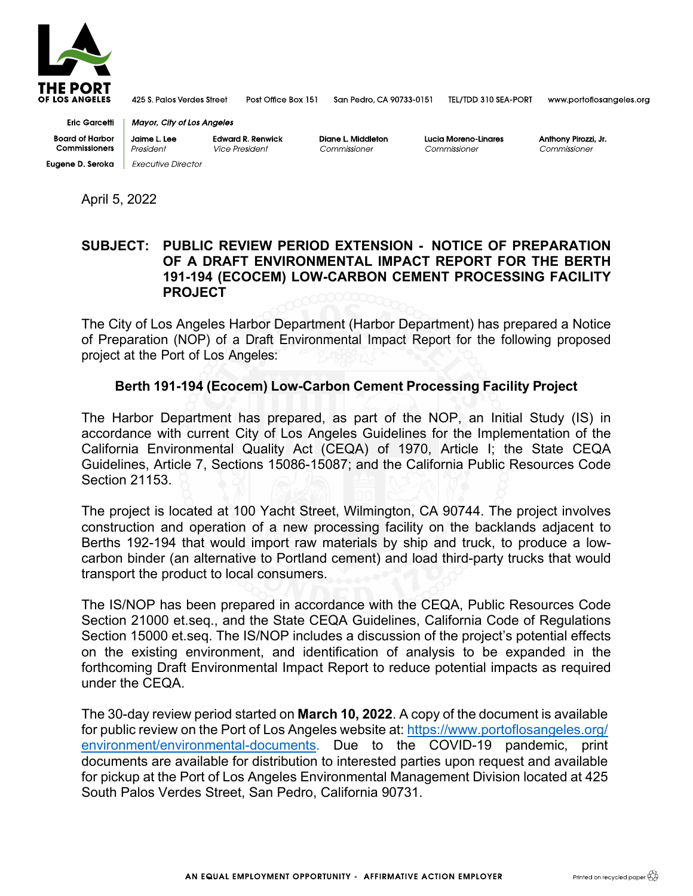

425 S. Palos Verdes Street Post Office Box 151

San Pedro, CA 90733-0151

TEL/TDD 310 SEA-PORT

www.portoflosangeles.org

**Eric Garcetti Board of Harbor** Commissioners **Eugene D. Seroka** | Executive Director

**Edward R. Renwick** Jaime L. Lee Vice President President

**Mayor, City of Los Angeles** 

Diane L. Middleton Commissioner

Lucia Moreno-Linares Commissioner

Anthony Pirozzi, Jr. Commissioner

April 5, 2022

## **SUBJECT: PUBLIC REVIEW PERIOD EXTENSION - NOTICE OF PREPARATION OF A DRAFT ENVIRONMENTAL IMPACT REPORT FOR THE BERTH 191-194 (ECOCEM) LOW-CARBON CEMENT PROCESSING FACILITY PROJECT**

The City of Los Angeles Harbor Department (Harbor Department) has prepared a Notice of Preparation (NOP) of a Draft Environmental Impact Report for the following proposed project at the Port of Los Angeles:

## **Berth 191-194 (Ecocem) Low-Carbon Cement Processing Facility Project**

The Harbor Department has prepared, as part of the NOP, an Initial Study (IS) in accordance with current City of Los Angeles Guidelines for the Implementation of the California Environmental Quality Act (CEQA) of 1970, Article I; the State CEQA Guidelines, Article 7, Sections 15086-15087; and the California Public Resources Code Section 21153.

The project is located at 100 Yacht Street, Wilmington, CA 90744. The project involves construction and operation of a new processing facility on the backlands adjacent to Berths 192-194 that would import raw materials by ship and truck, to produce a lowcarbon binder (an alternative to Portland cement) and load third-party trucks that would transport the product to local consumers.

The IS/NOP has been prepared in accordance with the CEQA, Public Resources Code Section 21000 et.seq., and the State CEQA Guidelines, California Code of Regulations Section 15000 et.seq. The IS/NOP includes a discussion of the project's potential effects on the existing environment, and identification of analysis to be expanded in the forthcoming Draft Environmental Impact Report to reduce potential impacts as required under the CEQA.

The 30-day review period started on **March 10, 2022**. A copy of the document is available for public review on the Port of Los Angeles website at: [https://www.portoflosangeles.org/](https://www.portoflosangeles.org/environment/environmental-documents) [environment/environmental-documents.](https://www.portoflosangeles.org/environment/environmental-documents) Due to the COVID-19 pandemic, print documents are available for distribution to interested parties upon request and available for pickup at the Port of Los Angeles Environmental Management Division located at 425 South Palos Verdes Street, San Pedro, California 90731.